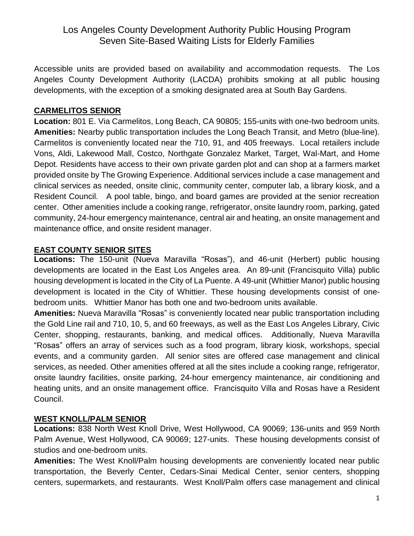# Los Angeles County Development Authority Public Housing Program Seven Site-Based Waiting Lists for Elderly Families

Accessible units are provided based on availability and accommodation requests. The Los Angeles County Development Authority (LACDA) prohibits smoking at all public housing developments, with the exception of a smoking designated area at South Bay Gardens.

#### **CARMELITOS SENIOR**

**Location:** 801 E. Via Carmelitos, Long Beach, CA 90805; 155-units with one-two bedroom units. **Amenities:** Nearby public transportation includes the Long Beach Transit, and Metro (blue-line). Carmelitos is conveniently located near the 710, 91, and 405 freeways. Local retailers include Vons, Aldi, Lakewood Mall, Costco, Northgate Gonzalez Market, Target, Wal-Mart, and Home Depot. Residents have access to their own private garden plot and can shop at a farmers market provided onsite by The Growing Experience. Additional services include a case management and clinical services as needed, onsite clinic, community center, computer lab, a library kiosk, and a Resident Council. A pool table, bingo, and board games are provided at the senior recreation center. Other amenities include a cooking range, refrigerator, onsite laundry room, parking, gated community, 24-hour emergency maintenance, central air and heating, an onsite management and maintenance office, and onsite resident manager.

### **EAST COUNTY SENIOR SITES**

**Locations:** The 150-unit (Nueva Maravilla "Rosas"), and 46-unit (Herbert) public housing developments are located in the East Los Angeles area. An 89-unit (Francisquito Villa) public housing development is located in the City of La Puente. A 49-unit (Whittier Manor) public housing development is located in the City of Whittier. These housing developments consist of onebedroom units. Whittier Manor has both one and two-bedroom units available.

**Amenities:** Nueva Maravilla "Rosas" is conveniently located near public transportation including the Gold Line rail and 710, 10, 5, and 60 freeways, as well as the East Los Angeles Library, Civic Center, shopping, restaurants, banking, and medical offices. Additionally, Nueva Maravilla "Rosas" offers an array of services such as a food program, library kiosk, workshops, special events, and a community garden. All senior sites are offered case management and clinical services, as needed. Other amenities offered at all the sites include a cooking range, refrigerator, onsite laundry facilities, onsite parking, 24-hour emergency maintenance, air conditioning and heating units, and an onsite management office. Francisquito Villa and Rosas have a Resident Council.

## **WEST KNOLL/PALM SENIOR**

**Locations:** 838 North West Knoll Drive, West Hollywood, CA 90069; 136-units and 959 North Palm Avenue, West Hollywood, CA 90069; 127-units. These housing developments consist of studios and one-bedroom units.

**Amenities:** The West Knoll/Palm housing developments are conveniently located near public transportation, the Beverly Center, Cedars-Sinai Medical Center, senior centers, shopping centers, supermarkets, and restaurants. West Knoll/Palm offers case management and clinical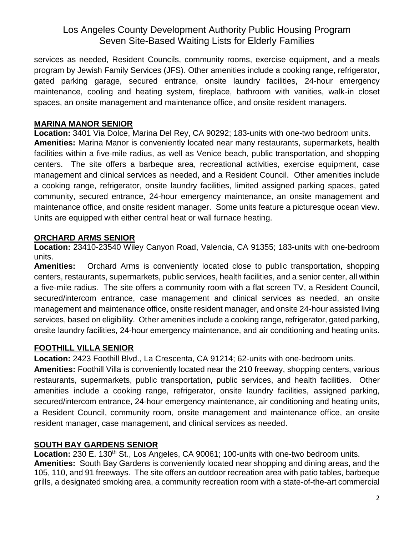# Los Angeles County Development Authority Public Housing Program Seven Site-Based Waiting Lists for Elderly Families

services as needed, Resident Councils, community rooms, exercise equipment, and a meals program by Jewish Family Services (JFS). Other amenities include a cooking range, refrigerator, gated parking garage, secured entrance, onsite laundry facilities, 24-hour emergency maintenance, cooling and heating system, fireplace, bathroom with vanities, walk-in closet spaces, an onsite management and maintenance office, and onsite resident managers.

#### **MARINA MANOR SENIOR**

**Location:** 3401 Via Dolce, Marina Del Rey, CA 90292; 183-units with one-two bedroom units. **Amenities:** Marina Manor is conveniently located near many restaurants, supermarkets, health facilities within a five-mile radius, as well as Venice beach, public transportation, and shopping centers. The site offers a barbeque area, recreational activities, exercise equipment, case management and clinical services as needed, and a Resident Council. Other amenities include a cooking range, refrigerator, onsite laundry facilities, limited assigned parking spaces, gated community, secured entrance, 24-hour emergency maintenance, an onsite management and maintenance office, and onsite resident manager. Some units feature a picturesque ocean view. Units are equipped with either central heat or wall furnace heating.

### **ORCHARD ARMS SENIOR**

**Location:** 23410-23540 Wiley Canyon Road, Valencia, CA 91355; 183-units with one-bedroom units.

**Amenities:** Orchard Arms is conveniently located close to public transportation, shopping centers, restaurants, supermarkets, public services, health facilities, and a senior center, all within a five-mile radius. The site offers a community room with a flat screen TV, a Resident Council, secured/intercom entrance, case management and clinical services as needed, an onsite management and maintenance office, onsite resident manager, and onsite 24-hour assisted living services, based on eligibility. Other amenities include a cooking range, refrigerator, gated parking, onsite laundry facilities, 24-hour emergency maintenance, and air conditioning and heating units.

## **FOOTHILL VILLA SENIOR**

**Location:** 2423 Foothill Blvd., La Crescenta, CA 91214; 62-units with one-bedroom units.

**Amenities:** Foothill Villa is conveniently located near the 210 freeway, shopping centers, various restaurants, supermarkets, public transportation, public services, and health facilities. Other amenities include a cooking range, refrigerator, onsite laundry facilities, assigned parking, secured/intercom entrance, 24-hour emergency maintenance, air conditioning and heating units, a Resident Council, community room, onsite management and maintenance office, an onsite resident manager, case management, and clinical services as needed.

## **SOUTH BAY GARDENS SENIOR**

Location: 230 E. 130<sup>th</sup> St., Los Angeles, CA 90061; 100-units with one-two bedroom units. **Amenities:** South Bay Gardens is conveniently located near shopping and dining areas, and the 105, 110, and 91 freeways. The site offers an outdoor recreation area with patio tables, barbeque grills, a designated smoking area, a community recreation room with a state-of-the-art commercial